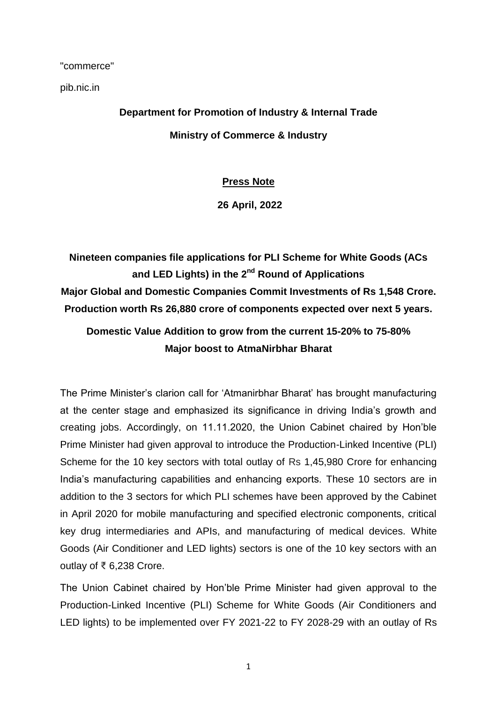"commerce"

pib.nic.in

**Department for Promotion of Industry & Internal Trade Ministry of Commerce & Industry**

## **Press Note**

**26 April, 2022**

**Nineteen companies file applications for PLI Scheme for White Goods (ACs and LED Lights) in the 2nd Round of Applications Major Global and Domestic Companies Commit Investments of Rs 1,548 Crore. Production worth Rs 26,880 crore of components expected over next 5 years.**

## **Domestic Value Addition to grow from the current 15-20% to 75-80% Major boost to AtmaNirbhar Bharat**

The Prime Minister's clarion call for 'Atmanirbhar Bharat' has brought manufacturing at the center stage and emphasized its significance in driving India's growth and creating jobs. Accordingly, on 11.11.2020, the Union Cabinet chaired by Hon'ble Prime Minister had given approval to introduce the Production-Linked Incentive (PLI) Scheme for the 10 key sectors with total outlay of Rs 1,45,980 Crore for enhancing India's manufacturing capabilities and enhancing exports. These 10 sectors are in addition to the 3 sectors for which PLI schemes have been approved by the Cabinet in April 2020 for mobile manufacturing and specified electronic components, critical key drug intermediaries and APIs, and manufacturing of medical devices. White Goods (Air Conditioner and LED lights) sectors is one of the 10 key sectors with an outlay of ₹ 6,238 Crore.

The Union Cabinet chaired by Hon'ble Prime Minister had given approval to the Production-Linked Incentive (PLI) Scheme for White Goods (Air Conditioners and LED lights) to be implemented over FY 2021-22 to FY 2028-29 with an outlay of Rs

1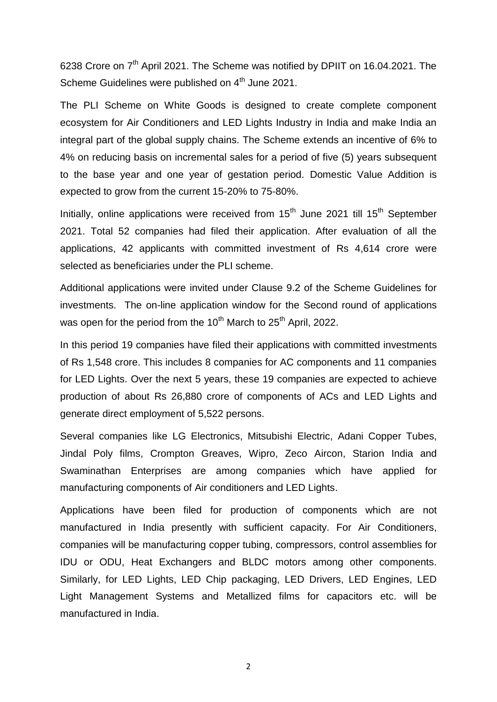6238 Crore on 7<sup>th</sup> April 2021. The Scheme was notified by DPIIT on 16.04.2021. The Scheme Guidelines were published on 4<sup>th</sup> June 2021.

The PLI Scheme on White Goods is designed to create complete component ecosystem for Air Conditioners and LED Lights Industry in India and make India an integral part of the global supply chains. The Scheme extends an incentive of 6% to 4% on reducing basis on incremental sales for a period of five (5) years subsequent to the base year and one year of gestation period. Domestic Value Addition is expected to grow from the current 15-20% to 75-80%.

Initially, online applications were received from  $15<sup>th</sup>$  June 2021 till  $15<sup>th</sup>$  September 2021. Total 52 companies had filed their application. After evaluation of all the applications, 42 applicants with committed investment of Rs 4,614 crore were selected as beneficiaries under the PLI scheme.

Additional applications were invited under Clause 9.2 of the Scheme Guidelines for investments. The on-line application window for the Second round of applications was open for the period from the 10<sup>th</sup> March to 25<sup>th</sup> April, 2022.

In this period 19 companies have filed their applications with committed investments of Rs 1,548 crore. This includes 8 companies for AC components and 11 companies for LED Lights. Over the next 5 years, these 19 companies are expected to achieve production of about Rs 26,880 crore of components of ACs and LED Lights and generate direct employment of 5,522 persons.

Several companies like LG Electronics, Mitsubishi Electric, Adani Copper Tubes, Jindal Poly films, Crompton Greaves, Wipro, Zeco Aircon, Starion India and Swaminathan Enterprises are among companies which have applied for manufacturing components of Air conditioners and LED Lights.

Applications have been filed for production of components which are not manufactured in India presently with sufficient capacity. For Air Conditioners, companies will be manufacturing copper tubing, compressors, control assemblies for IDU or ODU, Heat Exchangers and BLDC motors among other components. Similarly, for LED Lights, LED Chip packaging, LED Drivers, LED Engines, LED Light Management Systems and Metallized films for capacitors etc. will be manufactured in India.

2